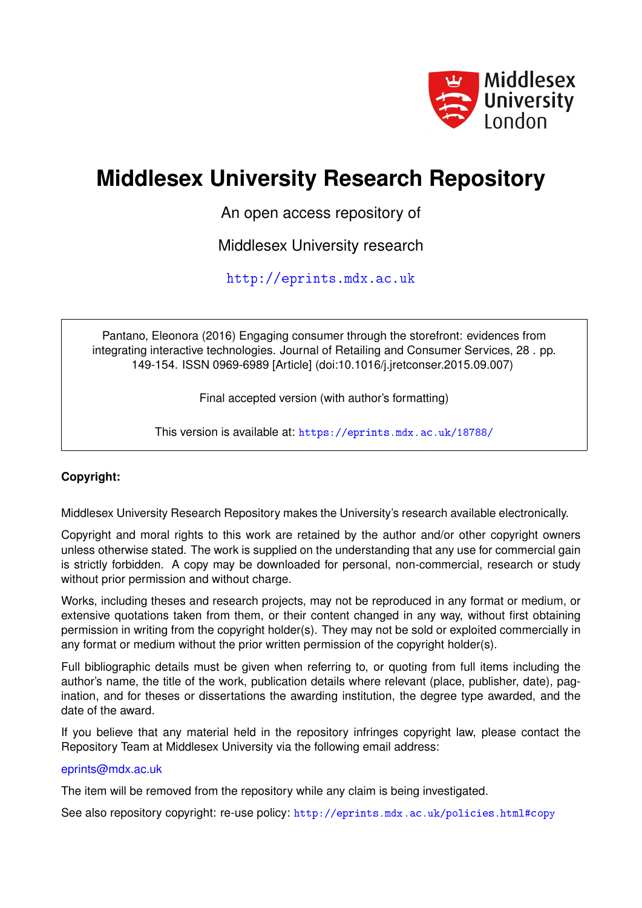

# **Middlesex University Research Repository**

An open access repository of

Middlesex University research

<http://eprints.mdx.ac.uk>

Pantano, Eleonora (2016) Engaging consumer through the storefront: evidences from integrating interactive technologies. Journal of Retailing and Consumer Services, 28 . pp. 149-154. ISSN 0969-6989 [Article] (doi:10.1016/j.jretconser.2015.09.007)

Final accepted version (with author's formatting)

This version is available at: <https://eprints.mdx.ac.uk/18788/>

# **Copyright:**

Middlesex University Research Repository makes the University's research available electronically.

Copyright and moral rights to this work are retained by the author and/or other copyright owners unless otherwise stated. The work is supplied on the understanding that any use for commercial gain is strictly forbidden. A copy may be downloaded for personal, non-commercial, research or study without prior permission and without charge.

Works, including theses and research projects, may not be reproduced in any format or medium, or extensive quotations taken from them, or their content changed in any way, without first obtaining permission in writing from the copyright holder(s). They may not be sold or exploited commercially in any format or medium without the prior written permission of the copyright holder(s).

Full bibliographic details must be given when referring to, or quoting from full items including the author's name, the title of the work, publication details where relevant (place, publisher, date), pagination, and for theses or dissertations the awarding institution, the degree type awarded, and the date of the award.

If you believe that any material held in the repository infringes copyright law, please contact the Repository Team at Middlesex University via the following email address:

# [eprints@mdx.ac.uk](mailto:eprints@mdx.ac.uk)

The item will be removed from the repository while any claim is being investigated.

See also repository copyright: re-use policy: <http://eprints.mdx.ac.uk/policies.html#copy>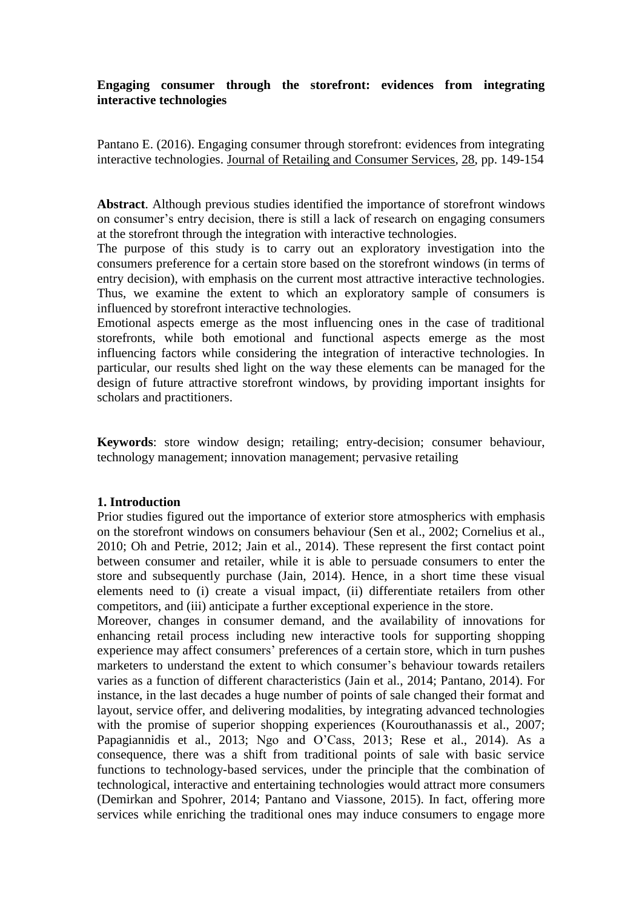# **Engaging consumer through the storefront: evidences from integrating interactive technologies**

Pantano E. (2016). Engaging consumer through storefront: evidences from integrating interactive technologies. Journal of Retailing and Consumer Services, 28, pp. 149-154

**Abstract**. Although previous studies identified the importance of storefront windows on consumer's entry decision, there is still a lack of research on engaging consumers at the storefront through the integration with interactive technologies.

The purpose of this study is to carry out an exploratory investigation into the consumers preference for a certain store based on the storefront windows (in terms of entry decision), with emphasis on the current most attractive interactive technologies. Thus, we examine the extent to which an exploratory sample of consumers is influenced by storefront interactive technologies.

Emotional aspects emerge as the most influencing ones in the case of traditional storefronts, while both emotional and functional aspects emerge as the most influencing factors while considering the integration of interactive technologies. In particular, our results shed light on the way these elements can be managed for the design of future attractive storefront windows, by providing important insights for scholars and practitioners.

**Keywords**: store window design; retailing; entry-decision; consumer behaviour, technology management; innovation management; pervasive retailing

#### **1. Introduction**

Prior studies figured out the importance of exterior store atmospherics with emphasis on the storefront windows on consumers behaviour (Sen et al., 2002; Cornelius et al., 2010; Oh and Petrie, 2012; Jain et al., 2014). These represent the first contact point between consumer and retailer, while it is able to persuade consumers to enter the store and subsequently purchase (Jain, 2014). Hence, in a short time these visual elements need to (i) create a visual impact, (ii) differentiate retailers from other competitors, and (iii) anticipate a further exceptional experience in the store.

Moreover, changes in consumer demand, and the availability of innovations for enhancing retail process including new interactive tools for supporting shopping experience may affect consumers' preferences of a certain store, which in turn pushes marketers to understand the extent to which consumer's behaviour towards retailers varies as a function of different characteristics (Jain et al., 2014; Pantano, 2014). For instance, in the last decades a huge number of points of sale changed their format and layout, service offer, and delivering modalities, by integrating advanced technologies with the promise of superior shopping experiences (Kourouthanassis et al., 2007; Papagiannidis et al., 2013; Ngo and O'Cass, 2013; Rese et al., 2014). As a consequence, there was a shift from traditional points of sale with basic service functions to technology-based services, under the principle that the combination of technological, interactive and entertaining technologies would attract more consumers (Demirkan and Spohrer, 2014; Pantano and Viassone, 2015). In fact, offering more services while enriching the traditional ones may induce consumers to engage more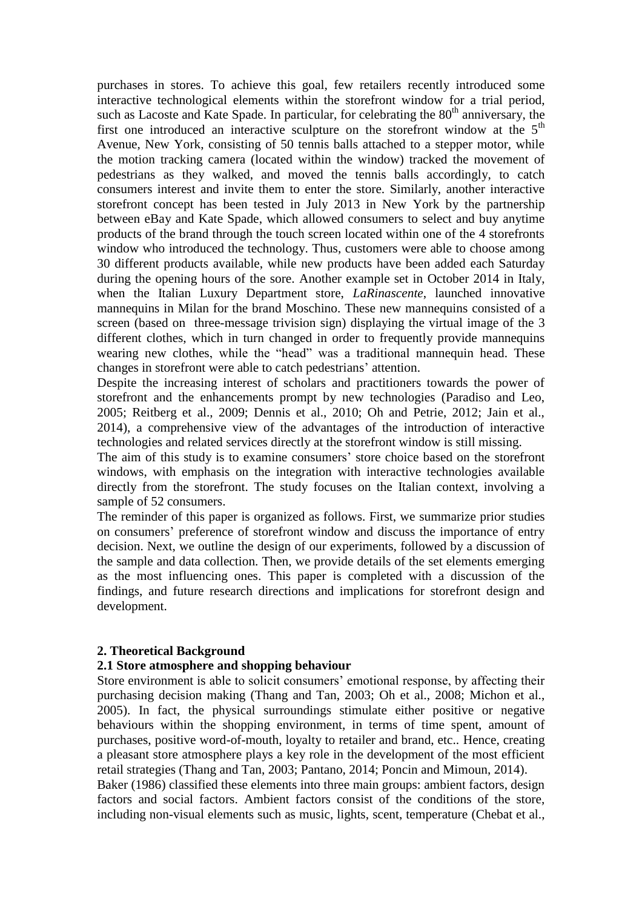purchases in stores. To achieve this goal, few retailers recently introduced some interactive technological elements within the storefront window for a trial period, such as Lacoste and Kate Spade. In particular, for celebrating the  $80<sup>th</sup>$  anniversary, the first one introduced an interactive sculpture on the storefront window at the 5<sup>th</sup> Avenue, New York, consisting of 50 tennis balls attached to a stepper motor, while the motion tracking camera (located within the window) tracked the movement of pedestrians as they walked, and moved the tennis balls accordingly, to catch consumers interest and invite them to enter the store. Similarly, another interactive storefront concept has been tested in July 2013 in New York by the partnership between eBay and Kate Spade, which allowed consumers to select and buy anytime products of the brand through the touch screen located within one of the 4 storefronts window who introduced the technology. Thus, customers were able to choose among 30 different products available, while new products have been added each Saturday during the opening hours of the sore. Another example set in October 2014 in Italy, when the Italian Luxury Department store, *LaRinascente*, launched innovative mannequins in Milan for the brand Moschino. These new mannequins consisted of a screen (based on three-message trivision sign) displaying the virtual image of the 3 different clothes, which in turn changed in order to frequently provide mannequins wearing new clothes, while the "head" was a traditional mannequin head. These changes in storefront were able to catch pedestrians' attention.

Despite the increasing interest of scholars and practitioners towards the power of storefront and the enhancements prompt by new technologies (Paradiso and Leo, 2005; Reitberg et al., 2009; Dennis et al., 2010; Oh and Petrie, 2012; Jain et al., 2014), a comprehensive view of the advantages of the introduction of interactive technologies and related services directly at the storefront window is still missing.

The aim of this study is to examine consumers' store choice based on the storefront windows, with emphasis on the integration with interactive technologies available directly from the storefront. The study focuses on the Italian context, involving a sample of 52 consumers.

The reminder of this paper is organized as follows. First, we summarize prior studies on consumers' preference of storefront window and discuss the importance of entry decision. Next, we outline the design of our experiments, followed by a discussion of the sample and data collection. Then, we provide details of the set elements emerging as the most influencing ones. This paper is completed with a discussion of the findings, and future research directions and implications for storefront design and development.

# **2. Theoretical Background**

#### **2.1 Store atmosphere and shopping behaviour**

Store environment is able to solicit consumers' emotional response, by affecting their purchasing decision making (Thang and Tan, 2003; Oh et al., 2008; Michon et al., 2005). In fact, the physical surroundings stimulate either positive or negative behaviours within the shopping environment, in terms of time spent, amount of purchases, positive word-of-mouth, loyalty to retailer and brand, etc.. Hence, creating a pleasant store atmosphere plays a key role in the development of the most efficient retail strategies (Thang and Tan, 2003; Pantano, 2014; Poncin and Mimoun, 2014). Baker (1986) classified these elements into three main groups: ambient factors, design factors and social factors. Ambient factors consist of the conditions of the store, including non-visual elements such as music, lights, scent, temperature (Chebat et al.,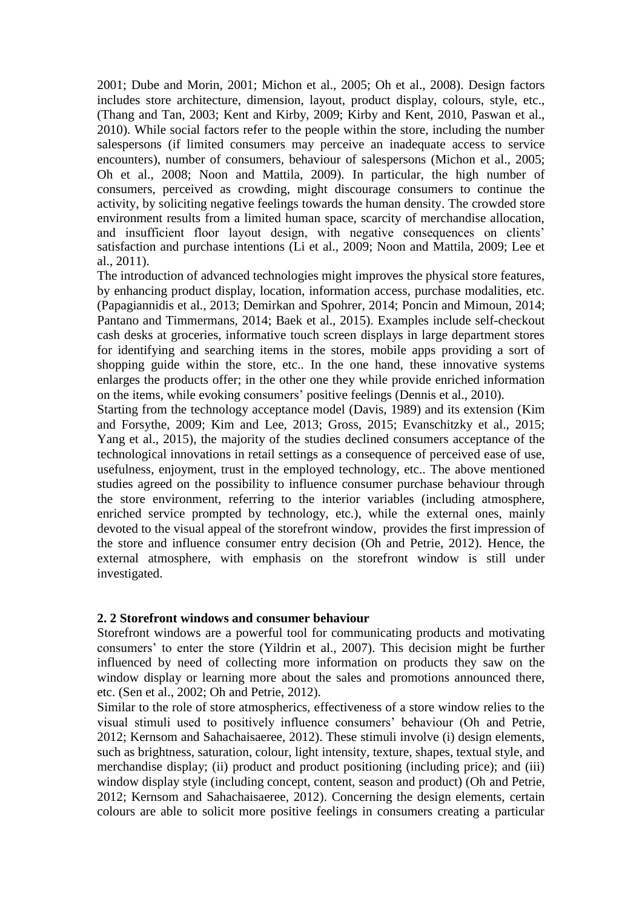2001; Dube and Morin, 2001; Michon et al., 2005; Oh et al., 2008). Design factors includes store architecture, dimension, layout, product display, colours, style, etc., (Thang and Tan, 2003; Kent and Kirby, 2009; Kirby and Kent, 2010, Paswan et al., 2010). While social factors refer to the people within the store, including the number salespersons (if limited consumers may perceive an inadequate access to service encounters), number of consumers, behaviour of salespersons (Michon et al., 2005; Oh et al., 2008; Noon and Mattila, 2009). In particular, the high number of consumers, perceived as crowding, might discourage consumers to continue the activity, by soliciting negative feelings towards the human density. The crowded store environment results from a limited human space, scarcity of merchandise allocation, and insufficient floor layout design, with negative consequences on clients' satisfaction and purchase intentions (Li et al., 2009; Noon and Mattila, 2009; Lee et al., 2011).

The introduction of advanced technologies might improves the physical store features, by enhancing product display, location, information access, purchase modalities, etc. (Papagiannidis et al., 2013; Demirkan and Spohrer, 2014; Poncin and Mimoun, 2014; Pantano and Timmermans, 2014; Baek et al., 2015). Examples include self-checkout cash desks at groceries, informative touch screen displays in large department stores for identifying and searching items in the stores, mobile apps providing a sort of shopping guide within the store, etc.. In the one hand, these innovative systems enlarges the products offer; in the other one they while provide enriched information on the items, while evoking consumers' positive feelings (Dennis et al., 2010).

Starting from the technology acceptance model (Davis, 1989) and its extension (Kim and Forsythe, 2009; Kim and Lee, 2013; Gross, 2015; Evanschitzky et al., 2015; Yang et al., 2015), the majority of the studies declined consumers acceptance of the technological innovations in retail settings as a consequence of perceived ease of use, usefulness, enjoyment, trust in the employed technology, etc.. The above mentioned studies agreed on the possibility to influence consumer purchase behaviour through the store environment, referring to the interior variables (including atmosphere, enriched service prompted by technology, etc.), while the external ones, mainly devoted to the visual appeal of the storefront window, provides the first impression of the store and influence consumer entry decision (Oh and Petrie, 2012). Hence, the external atmosphere, with emphasis on the storefront window is still under investigated.

#### **2. 2 Storefront windows and consumer behaviour**

Storefront windows are a powerful tool for communicating products and motivating consumers' to enter the store (Yildrin et al., 2007). This decision might be further influenced by need of collecting more information on products they saw on the window display or learning more about the sales and promotions announced there, etc. (Sen et al., 2002; Oh and Petrie, 2012).

Similar to the role of store atmospherics, effectiveness of a store window relies to the visual stimuli used to positively influence consumers' behaviour (Oh and Petrie, 2012; Kernsom and Sahachaisaeree, 2012). These stimuli involve (i) design elements, such as brightness, saturation, colour, light intensity, texture, shapes, textual style, and merchandise display; (ii) product and product positioning (including price); and (iii) window display style (including concept, content, season and product) (Oh and Petrie, 2012; Kernsom and Sahachaisaeree, 2012). Concerning the design elements, certain colours are able to solicit more positive feelings in consumers creating a particular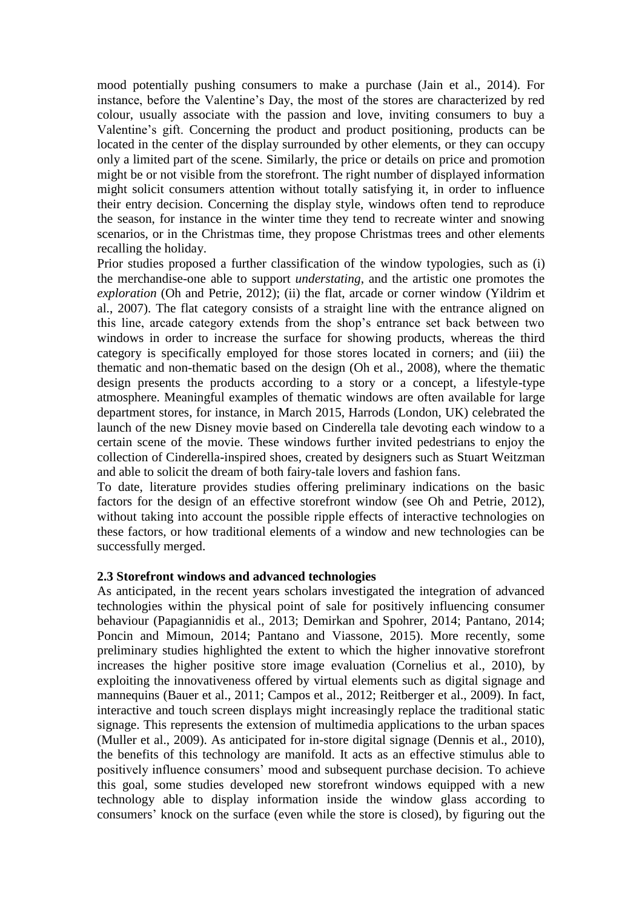mood potentially pushing consumers to make a purchase (Jain et al., 2014). For instance, before the Valentine's Day, the most of the stores are characterized by red colour, usually associate with the passion and love, inviting consumers to buy a Valentine's gift. Concerning the product and product positioning, products can be located in the center of the display surrounded by other elements, or they can occupy only a limited part of the scene. Similarly, the price or details on price and promotion might be or not visible from the storefront. The right number of displayed information might solicit consumers attention without totally satisfying it, in order to influence their entry decision. Concerning the display style, windows often tend to reproduce the season, for instance in the winter time they tend to recreate winter and snowing scenarios, or in the Christmas time, they propose Christmas trees and other elements recalling the holiday.

Prior studies proposed a further classification of the window typologies, such as (i) the merchandise-one able to support *understating*, and the artistic one promotes the *exploration* (Oh and Petrie, 2012); (ii) the flat, arcade or corner window (Yildrim et al., 2007). The flat category consists of a straight line with the entrance aligned on this line, arcade category extends from the shop's entrance set back between two windows in order to increase the surface for showing products, whereas the third category is specifically employed for those stores located in corners; and (iii) the thematic and non-thematic based on the design (Oh et al., 2008), where the thematic design presents the products according to a story or a concept, a lifestyle-type atmosphere. Meaningful examples of thematic windows are often available for large department stores, for instance, in March 2015, Harrods (London, UK) celebrated the launch of the new Disney movie based on Cinderella tale devoting each window to a certain scene of the movie. These windows further invited pedestrians to enjoy the collection of Cinderella-inspired shoes, created by designers such as Stuart Weitzman and able to solicit the dream of both fairy-tale lovers and fashion fans.

To date, literature provides studies offering preliminary indications on the basic factors for the design of an effective storefront window (see Oh and Petrie, 2012), without taking into account the possible ripple effects of interactive technologies on these factors, or how traditional elements of a window and new technologies can be successfully merged.

#### **2.3 Storefront windows and advanced technologies**

As anticipated, in the recent years scholars investigated the integration of advanced technologies within the physical point of sale for positively influencing consumer behaviour (Papagiannidis et al., 2013; Demirkan and Spohrer, 2014; Pantano, 2014; Poncin and Mimoun, 2014; Pantano and Viassone, 2015). More recently, some preliminary studies highlighted the extent to which the higher innovative storefront increases the higher positive store image evaluation (Cornelius et al., 2010), by exploiting the innovativeness offered by virtual elements such as digital signage and mannequins (Bauer et al., 2011; Campos et al., 2012; Reitberger et al., 2009). In fact, interactive and touch screen displays might increasingly replace the traditional static signage. This represents the extension of multimedia applications to the urban spaces (Muller et al., 2009). As anticipated for in-store digital signage (Dennis et al., 2010), the benefits of this technology are manifold. It acts as an effective stimulus able to positively influence consumers' mood and subsequent purchase decision. To achieve this goal, some studies developed new storefront windows equipped with a new technology able to display information inside the window glass according to consumers' knock on the surface (even while the store is closed), by figuring out the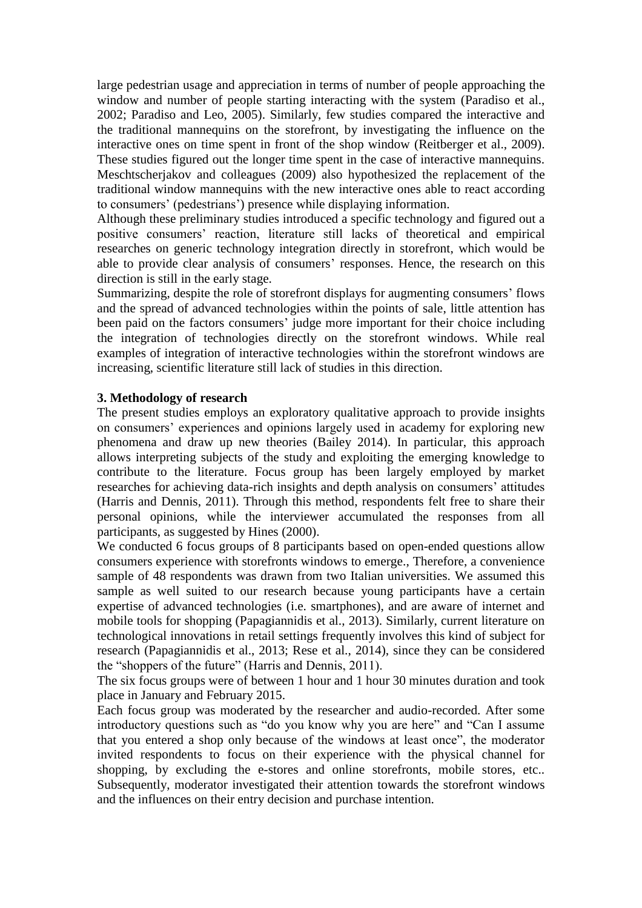large pedestrian usage and appreciation in terms of number of people approaching the window and number of people starting interacting with the system (Paradiso et al., 2002; Paradiso and Leo, 2005). Similarly, few studies compared the interactive and the traditional mannequins on the storefront, by investigating the influence on the interactive ones on time spent in front of the shop window (Reitberger et al., 2009). These studies figured out the longer time spent in the case of interactive mannequins. Meschtscherjakov and colleagues (2009) also hypothesized the replacement of the traditional window mannequins with the new interactive ones able to react according to consumers' (pedestrians') presence while displaying information.

Although these preliminary studies introduced a specific technology and figured out a positive consumers' reaction, literature still lacks of theoretical and empirical researches on generic technology integration directly in storefront, which would be able to provide clear analysis of consumers' responses. Hence, the research on this direction is still in the early stage.

Summarizing, despite the role of storefront displays for augmenting consumers' flows and the spread of advanced technologies within the points of sale, little attention has been paid on the factors consumers' judge more important for their choice including the integration of technologies directly on the storefront windows. While real examples of integration of interactive technologies within the storefront windows are increasing, scientific literature still lack of studies in this direction.

### **3. Methodology of research**

The present studies employs an exploratory qualitative approach to provide insights on consumers' experiences and opinions largely used in academy for exploring new phenomena and draw up new theories (Bailey 2014). In particular, this approach allows interpreting subjects of the study and exploiting the emerging knowledge to contribute to the literature. Focus group has been largely employed by market researches for achieving data-rich insights and depth analysis on consumers' attitudes (Harris and Dennis, 2011). Through this method, respondents felt free to share their personal opinions, while the interviewer accumulated the responses from all participants, as suggested by Hines (2000).

We conducted 6 focus groups of 8 participants based on open-ended questions allow consumers experience with storefronts windows to emerge., Therefore, a convenience sample of 48 respondents was drawn from two Italian universities. We assumed this sample as well suited to our research because young participants have a certain expertise of advanced technologies (i.e. smartphones), and are aware of internet and mobile tools for shopping (Papagiannidis et al., 2013). Similarly, current literature on technological innovations in retail settings frequently involves this kind of subject for research (Papagiannidis et al., 2013; Rese et al., 2014), since they can be considered the "shoppers of the future" (Harris and Dennis, 2011).

The six focus groups were of between 1 hour and 1 hour 30 minutes duration and took place in January and February 2015.

Each focus group was moderated by the researcher and audio-recorded. After some introductory questions such as "do you know why you are here" and "Can I assume that you entered a shop only because of the windows at least once", the moderator invited respondents to focus on their experience with the physical channel for shopping, by excluding the e-stores and online storefronts, mobile stores, etc.. Subsequently, moderator investigated their attention towards the storefront windows and the influences on their entry decision and purchase intention.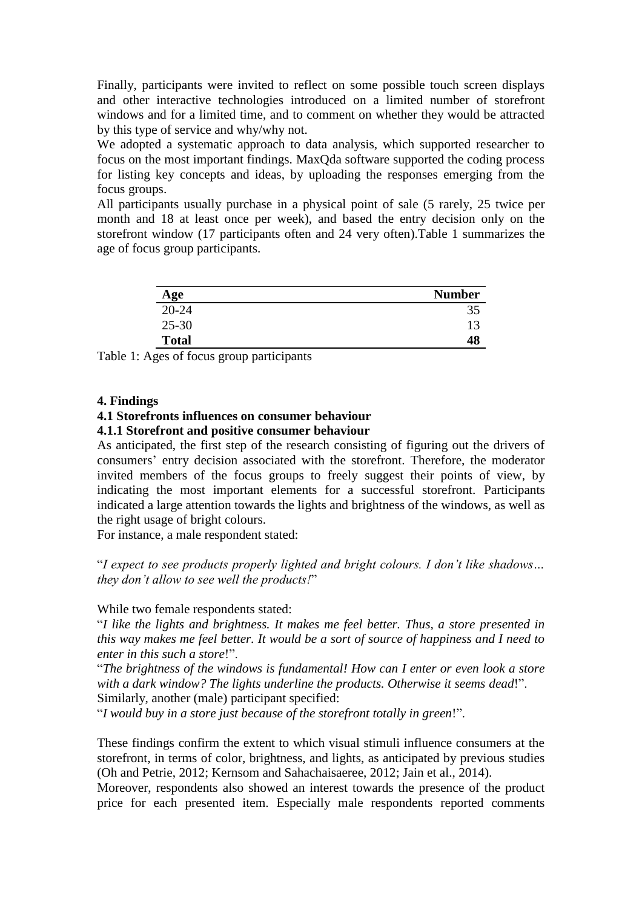Finally, participants were invited to reflect on some possible touch screen displays and other interactive technologies introduced on a limited number of storefront windows and for a limited time, and to comment on whether they would be attracted by this type of service and why/why not.

We adopted a systematic approach to data analysis, which supported researcher to focus on the most important findings. MaxQda software supported the coding process for listing key concepts and ideas, by uploading the responses emerging from the focus groups.

All participants usually purchase in a physical point of sale (5 rarely, 25 twice per month and 18 at least once per week), and based the entry decision only on the storefront window (17 participants often and 24 very often).Table 1 summarizes the age of focus group participants.

| Age          | <b>Number</b> |
|--------------|---------------|
| $20 - 24$    |               |
| $25 - 30$    |               |
| <b>Total</b> | 48            |

Table 1: Ages of focus group participants

# **4. Findings**

#### **4.1 Storefronts influences on consumer behaviour**

### **4.1.1 Storefront and positive consumer behaviour**

As anticipated, the first step of the research consisting of figuring out the drivers of consumers' entry decision associated with the storefront. Therefore, the moderator invited members of the focus groups to freely suggest their points of view, by indicating the most important elements for a successful storefront. Participants indicated a large attention towards the lights and brightness of the windows, as well as the right usage of bright colours.

For instance, a male respondent stated:

"*I expect to see products properly lighted and bright colours. I don't like shadows… they don't allow to see well the products!*"

While two female respondents stated:

"*I like the lights and brightness. It makes me feel better. Thus, a store presented in this way makes me feel better. It would be a sort of source of happiness and I need to enter in this such a store*!".

"*The brightness of the windows is fundamental! How can I enter or even look a store with a dark window? The lights underline the products. Otherwise it seems dead*!". Similarly, another (male) participant specified:

"*I would buy in a store just because of the storefront totally in green*!".

These findings confirm the extent to which visual stimuli influence consumers at the storefront, in terms of color, brightness, and lights, as anticipated by previous studies (Oh and Petrie, 2012; Kernsom and Sahachaisaeree, 2012; Jain et al., 2014).

Moreover, respondents also showed an interest towards the presence of the product price for each presented item. Especially male respondents reported comments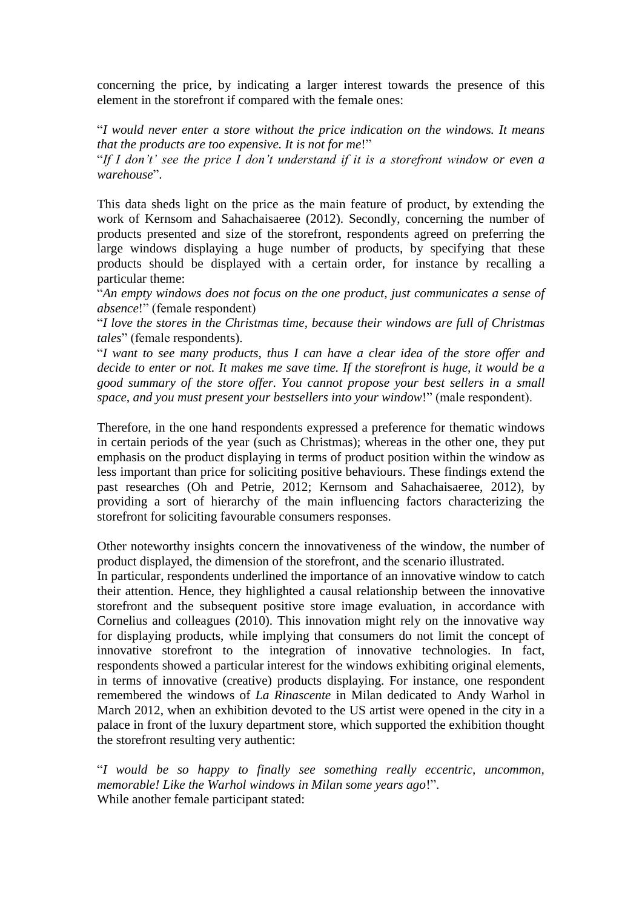concerning the price, by indicating a larger interest towards the presence of this element in the storefront if compared with the female ones:

"*I would never enter a store without the price indication on the windows. It means that the products are too expensive. It is not for me*!"

"*If I don't' see the price I don't understand if it is a storefront window or even a warehouse*".

This data sheds light on the price as the main feature of product, by extending the work of Kernsom and Sahachaisaeree (2012). Secondly, concerning the number of products presented and size of the storefront, respondents agreed on preferring the large windows displaying a huge number of products, by specifying that these products should be displayed with a certain order, for instance by recalling a particular theme:

"*An empty windows does not focus on the one product, just communicates a sense of absence*!" (female respondent)

"*I love the stores in the Christmas time, because their windows are full of Christmas tales*" (female respondents).

"*I want to see many products, thus I can have a clear idea of the store offer and decide to enter or not. It makes me save time. If the storefront is huge, it would be a good summary of the store offer. You cannot propose your best sellers in a small space, and you must present your bestsellers into your window*!" (male respondent).

Therefore, in the one hand respondents expressed a preference for thematic windows in certain periods of the year (such as Christmas); whereas in the other one, they put emphasis on the product displaying in terms of product position within the window as less important than price for soliciting positive behaviours. These findings extend the past researches (Oh and Petrie, 2012; Kernsom and Sahachaisaeree, 2012), by providing a sort of hierarchy of the main influencing factors characterizing the storefront for soliciting favourable consumers responses.

Other noteworthy insights concern the innovativeness of the window, the number of product displayed, the dimension of the storefront, and the scenario illustrated.

In particular, respondents underlined the importance of an innovative window to catch their attention. Hence, they highlighted a causal relationship between the innovative storefront and the subsequent positive store image evaluation, in accordance with Cornelius and colleagues (2010). This innovation might rely on the innovative way for displaying products, while implying that consumers do not limit the concept of innovative storefront to the integration of innovative technologies. In fact, respondents showed a particular interest for the windows exhibiting original elements, in terms of innovative (creative) products displaying. For instance, one respondent remembered the windows of *La Rinascente* in Milan dedicated to Andy Warhol in March 2012, when an exhibition devoted to the US artist were opened in the city in a palace in front of the luxury department store, which supported the exhibition thought the storefront resulting very authentic:

"*I would be so happy to finally see something really eccentric, uncommon, memorable! Like the Warhol windows in Milan some years ago*!". While another female participant stated: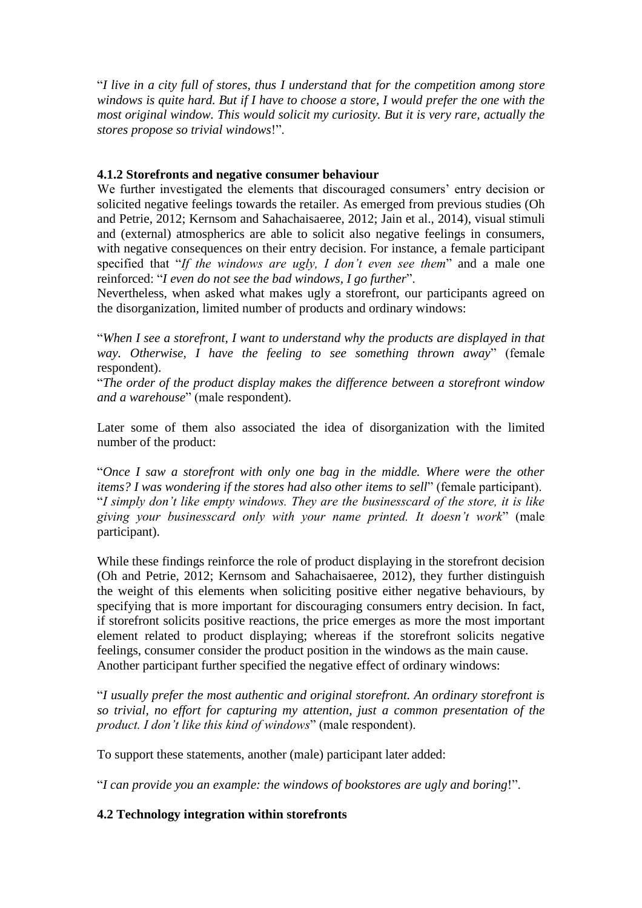"*I live in a city full of stores, thus I understand that for the competition among store windows is quite hard. But if I have to choose a store, I would prefer the one with the most original window. This would solicit my curiosity. But it is very rare, actually the stores propose so trivial windows*!".

# **4.1.2 Storefronts and negative consumer behaviour**

We further investigated the elements that discouraged consumers' entry decision or solicited negative feelings towards the retailer. As emerged from previous studies (Oh and Petrie, 2012; Kernsom and Sahachaisaeree, 2012; Jain et al., 2014), visual stimuli and (external) atmospherics are able to solicit also negative feelings in consumers, with negative consequences on their entry decision. For instance, a female participant specified that "*If the windows are ugly, I don't even see them*" and a male one reinforced: "*I even do not see the bad windows, I go further*".

Nevertheless, when asked what makes ugly a storefront, our participants agreed on the disorganization, limited number of products and ordinary windows:

"*When I see a storefront, I want to understand why the products are displayed in that way. Otherwise, I have the feeling to see something thrown away*" (female respondent).

"*The order of the product display makes the difference between a storefront window and a warehouse*" (male respondent).

Later some of them also associated the idea of disorganization with the limited number of the product:

"*Once I saw a storefront with only one bag in the middle. Where were the other items? I was wondering if the stores had also other items to sell*" (female participant). "*I simply don't like empty windows. They are the businesscard of the store, it is like giving your businesscard only with your name printed. It doesn't work*" (male participant).

While these findings reinforce the role of product displaying in the storefront decision (Oh and Petrie, 2012; Kernsom and Sahachaisaeree, 2012), they further distinguish the weight of this elements when soliciting positive either negative behaviours, by specifying that is more important for discouraging consumers entry decision. In fact, if storefront solicits positive reactions, the price emerges as more the most important element related to product displaying; whereas if the storefront solicits negative feelings, consumer consider the product position in the windows as the main cause. Another participant further specified the negative effect of ordinary windows:

"*I usually prefer the most authentic and original storefront. An ordinary storefront is so trivial, no effort for capturing my attention, just a common presentation of the product. I don't like this kind of windows*" (male respondent).

To support these statements, another (male) participant later added:

"*I can provide you an example: the windows of bookstores are ugly and boring*!".

# **4.2 Technology integration within storefronts**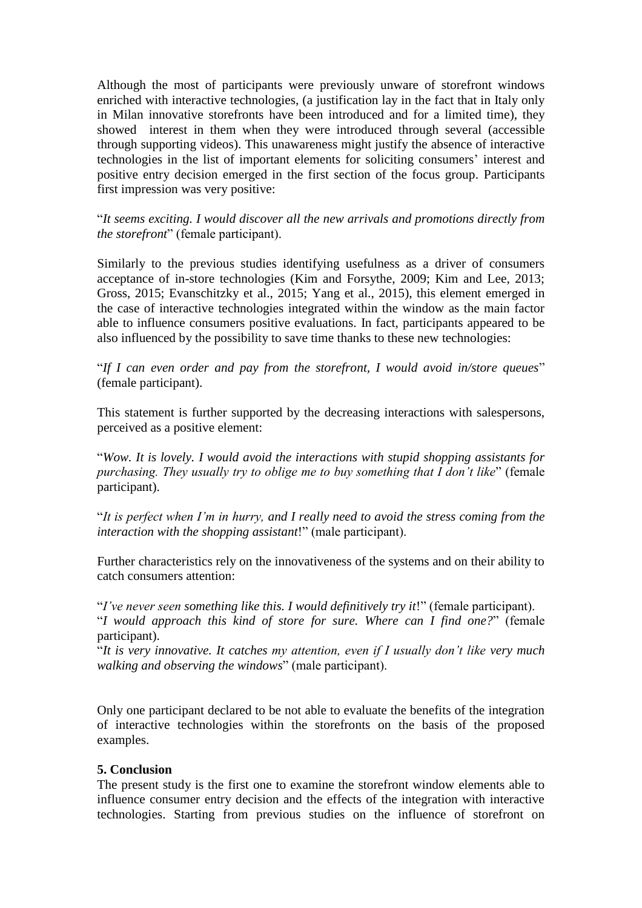Although the most of participants were previously unware of storefront windows enriched with interactive technologies, (a justification lay in the fact that in Italy only in Milan innovative storefronts have been introduced and for a limited time), they showed interest in them when they were introduced through several (accessible through supporting videos). This unawareness might justify the absence of interactive technologies in the list of important elements for soliciting consumers' interest and positive entry decision emerged in the first section of the focus group. Participants first impression was very positive:

"*It seems exciting. I would discover all the new arrivals and promotions directly from the storefront*" (female participant).

Similarly to the previous studies identifying usefulness as a driver of consumers acceptance of in-store technologies (Kim and Forsythe, 2009; Kim and Lee, 2013; Gross, 2015; Evanschitzky et al., 2015; Yang et al., 2015), this element emerged in the case of interactive technologies integrated within the window as the main factor able to influence consumers positive evaluations. In fact, participants appeared to be also influenced by the possibility to save time thanks to these new technologies:

"*If I can even order and pay from the storefront, I would avoid in/store queues*" (female participant).

This statement is further supported by the decreasing interactions with salespersons, perceived as a positive element:

"*Wow. It is lovely. I would avoid the interactions with stupid shopping assistants for purchasing. They usually try to oblige me to buy something that I don't like*" (female participant).

"*It is perfect when I'm in hurry, and I really need to avoid the stress coming from the interaction with the shopping assistant*!" (male participant).

Further characteristics rely on the innovativeness of the systems and on their ability to catch consumers attention:

"*I've never seen something like this. I would definitively try it*!" (female participant). "*I would approach this kind of store for sure. Where can I find one?*" (female participant).

"*It is very innovative. It catches my attention, even if I usually don't like very much walking and observing the windows*" (male participant).

Only one participant declared to be not able to evaluate the benefits of the integration of interactive technologies within the storefronts on the basis of the proposed examples.

### **5. Conclusion**

The present study is the first one to examine the storefront window elements able to influence consumer entry decision and the effects of the integration with interactive technologies. Starting from previous studies on the influence of storefront on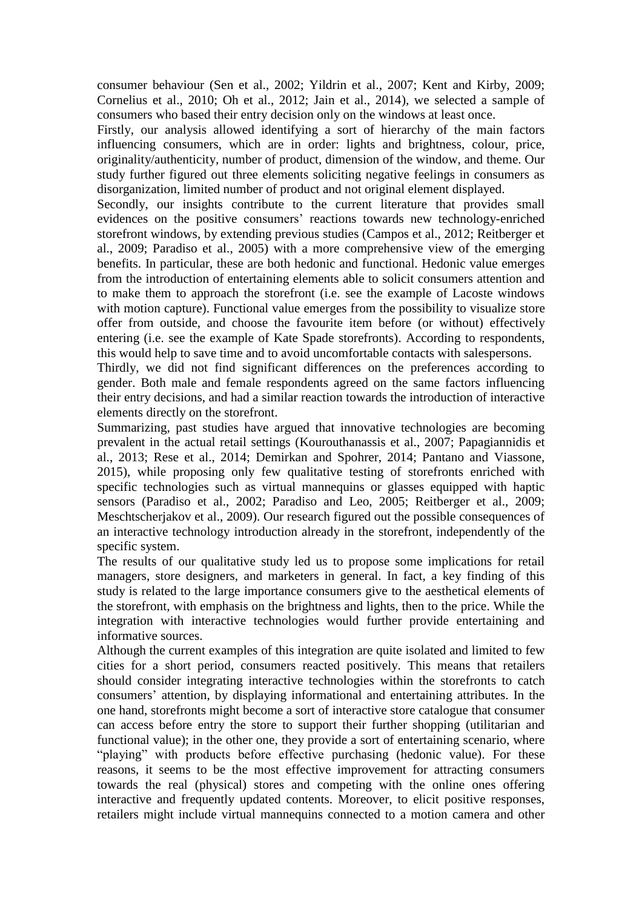consumer behaviour (Sen et al., 2002; Yildrin et al., 2007; Kent and Kirby, 2009; Cornelius et al., 2010; Oh et al., 2012; Jain et al., 2014), we selected a sample of consumers who based their entry decision only on the windows at least once.

Firstly, our analysis allowed identifying a sort of hierarchy of the main factors influencing consumers, which are in order: lights and brightness, colour, price, originality/authenticity, number of product, dimension of the window, and theme. Our study further figured out three elements soliciting negative feelings in consumers as disorganization, limited number of product and not original element displayed.

Secondly, our insights contribute to the current literature that provides small evidences on the positive consumers' reactions towards new technology-enriched storefront windows, by extending previous studies (Campos et al., 2012; Reitberger et al., 2009; Paradiso et al., 2005) with a more comprehensive view of the emerging benefits. In particular, these are both hedonic and functional. Hedonic value emerges from the introduction of entertaining elements able to solicit consumers attention and to make them to approach the storefront (i.e. see the example of Lacoste windows with motion capture). Functional value emerges from the possibility to visualize store offer from outside, and choose the favourite item before (or without) effectively entering (i.e. see the example of Kate Spade storefronts). According to respondents, this would help to save time and to avoid uncomfortable contacts with salespersons.

Thirdly, we did not find significant differences on the preferences according to gender. Both male and female respondents agreed on the same factors influencing their entry decisions, and had a similar reaction towards the introduction of interactive elements directly on the storefront.

Summarizing, past studies have argued that innovative technologies are becoming prevalent in the actual retail settings (Kourouthanassis et al., 2007; Papagiannidis et al., 2013; Rese et al., 2014; Demirkan and Spohrer, 2014; Pantano and Viassone, 2015), while proposing only few qualitative testing of storefronts enriched with specific technologies such as virtual mannequins or glasses equipped with haptic sensors (Paradiso et al., 2002; Paradiso and Leo, 2005; Reitberger et al., 2009; Meschtscherjakov et al., 2009). Our research figured out the possible consequences of an interactive technology introduction already in the storefront, independently of the specific system.

The results of our qualitative study led us to propose some implications for retail managers, store designers, and marketers in general. In fact, a key finding of this study is related to the large importance consumers give to the aesthetical elements of the storefront, with emphasis on the brightness and lights, then to the price. While the integration with interactive technologies would further provide entertaining and informative sources.

Although the current examples of this integration are quite isolated and limited to few cities for a short period, consumers reacted positively. This means that retailers should consider integrating interactive technologies within the storefronts to catch consumers' attention, by displaying informational and entertaining attributes. In the one hand, storefronts might become a sort of interactive store catalogue that consumer can access before entry the store to support their further shopping (utilitarian and functional value); in the other one, they provide a sort of entertaining scenario, where "playing" with products before effective purchasing (hedonic value). For these reasons, it seems to be the most effective improvement for attracting consumers towards the real (physical) stores and competing with the online ones offering interactive and frequently updated contents. Moreover, to elicit positive responses, retailers might include virtual mannequins connected to a motion camera and other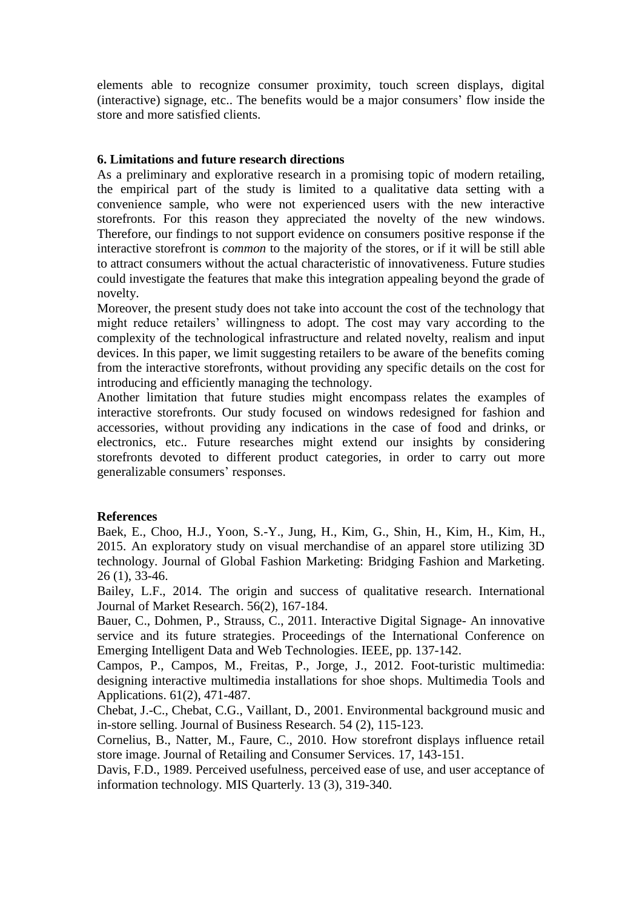elements able to recognize consumer proximity, touch screen displays, digital (interactive) signage, etc.. The benefits would be a major consumers' flow inside the store and more satisfied clients.

# **6. Limitations and future research directions**

As a preliminary and explorative research in a promising topic of modern retailing, the empirical part of the study is limited to a qualitative data setting with a convenience sample, who were not experienced users with the new interactive storefronts. For this reason they appreciated the novelty of the new windows. Therefore, our findings to not support evidence on consumers positive response if the interactive storefront is *common* to the majority of the stores, or if it will be still able to attract consumers without the actual characteristic of innovativeness. Future studies could investigate the features that make this integration appealing beyond the grade of novelty.

Moreover, the present study does not take into account the cost of the technology that might reduce retailers' willingness to adopt. The cost may vary according to the complexity of the technological infrastructure and related novelty, realism and input devices. In this paper, we limit suggesting retailers to be aware of the benefits coming from the interactive storefronts, without providing any specific details on the cost for introducing and efficiently managing the technology.

Another limitation that future studies might encompass relates the examples of interactive storefronts. Our study focused on windows redesigned for fashion and accessories, without providing any indications in the case of food and drinks, or electronics, etc.. Future researches might extend our insights by considering storefronts devoted to different product categories, in order to carry out more generalizable consumers' responses.

# **References**

Baek, E., Choo, H.J., Yoon, S.-Y., Jung, H., Kim, G., Shin, H., Kim, H., Kim, H., 2015. An exploratory study on visual merchandise of an apparel store utilizing 3D technology. Journal of Global Fashion Marketing: Bridging Fashion and Marketing. 26 (1), 33-46.

Bailey, L.F., 2014. The origin and success of qualitative research. International Journal of Market Research. 56(2), 167-184.

Bauer, C., Dohmen, P., Strauss, C., 2011. Interactive Digital Signage- An innovative service and its future strategies. Proceedings of the International Conference on Emerging Intelligent Data and Web Technologies. IEEE, pp. 137-142.

Campos, P., Campos, M., Freitas, P., Jorge, J., 2012. Foot-turistic multimedia: designing interactive multimedia installations for shoe shops. Multimedia Tools and Applications. 61(2), 471-487.

Chebat, J.-C., Chebat, C.G., Vaillant, D., 2001. Environmental background music and in-store selling. Journal of Business Research. 54 (2), 115-123.

Cornelius, B., Natter, M., Faure, C., 2010. How storefront displays influence retail store image. Journal of Retailing and Consumer Services. 17, 143-151.

Davis, F.D., 1989. Perceived usefulness, perceived ease of use, and user acceptance of information technology. MIS Quarterly. 13 (3), 319-340.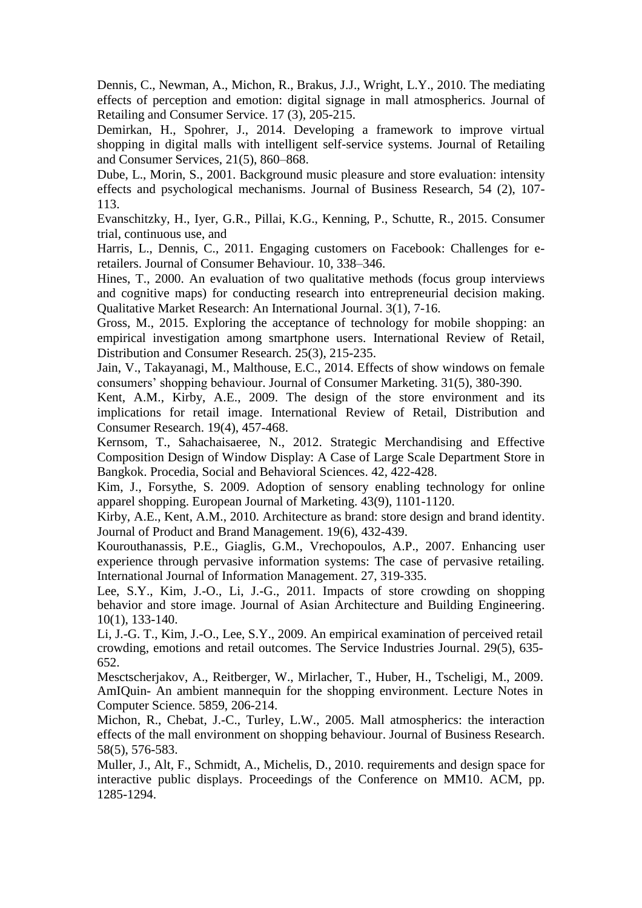Dennis, C., Newman, A., Michon, R., Brakus, J.J., Wright, L.Y., 2010. The mediating effects of perception and emotion: digital signage in mall atmospherics. Journal of Retailing and Consumer Service. 17 (3), 205-215.

Demirkan, H., Spohrer, J., 2014. Developing a framework to improve virtual shopping in digital malls with intelligent self-service systems. Journal of Retailing and Consumer Services, 21(5), 860–868.

Dube, L., Morin, S., 2001. Background music pleasure and store evaluation: intensity effects and psychological mechanisms. Journal of Business Research, 54 (2), 107- 113.

Evanschitzky, H., Iyer, G.R., Pillai, K.G., Kenning, P., Schutte, R., 2015. Consumer trial, continuous use, and

Harris, L., Dennis, C., 2011. Engaging customers on Facebook: Challenges for eretailers. Journal of Consumer Behaviour. 10, 338–346.

Hines, T., 2000. An evaluation of two qualitative methods (focus group interviews and cognitive maps) for conducting research into entrepreneurial decision making. Qualitative Market Research: An International Journal. 3(1), 7-16.

Gross, M., 2015. Exploring the acceptance of technology for mobile shopping: an empirical investigation among smartphone users. International Review of Retail, Distribution and Consumer Research. 25(3), 215-235.

Jain, V., Takayanagi, M., Malthouse, E.C., 2014. Effects of show windows on female consumers' shopping behaviour. Journal of Consumer Marketing. 31(5), 380-390.

Kent, A.M., Kirby, A.E., 2009. The design of the store environment and its implications for retail image. International Review of Retail, Distribution and Consumer Research. 19(4), 457-468.

Kernsom, T., Sahachaisaeree, N., 2012. Strategic Merchandising and Effective Composition Design of Window Display: A Case of Large Scale Department Store in Bangkok. Procedia, Social and Behavioral Sciences. 42, 422-428.

Kim, J., Forsythe, S. 2009. Adoption of sensory enabling technology for online apparel shopping. European Journal of Marketing. 43(9), 1101-1120.

Kirby, A.E., Kent, A.M., 2010. Architecture as brand: store design and brand identity. Journal of Product and Brand Management. 19(6), 432-439.

Kourouthanassis, P.E., Giaglis, G.M., Vrechopoulos, A.P., 2007. Enhancing user experience through pervasive information systems: The case of pervasive retailing. International Journal of Information Management. 27, 319-335.

Lee, S.Y., Kim, J.-O., Li, J.-G., 2011. Impacts of store crowding on shopping behavior and store image. Journal of Asian Architecture and Building Engineering. 10(1), 133-140.

Li, J.-G. T., Kim, J.-O., Lee, S.Y., 2009. An empirical examination of perceived retail crowding, emotions and retail outcomes. The Service Industries Journal. 29(5), 635- 652. **[Downlo](http://link.springer.com/content/pdf/10.1007%2F978-3-642-05408-2.pdf)**

Mesctscherjakov, A., Reitberger, W., Mirlacher, T., Huber, H., Tscheligi, M., 2009. AmIQuin- An ambient mannequin for the shopping environment. Lecture Notes in Computer Science. 5859, 206-214.

Michon, R., Chebat, J.-C., Turley, L.W., 2005. Mall atmospherics: the interaction effects of the mall environment on shopping behaviour. Journal of Business Research. 58(5), 576-583.

Muller, J., Alt, F., Schmidt, A., Michelis, D., 2010. requirements and design space for interactive public displays. Proceedings of the Conference on MM10. ACM, pp. 1285-1294.